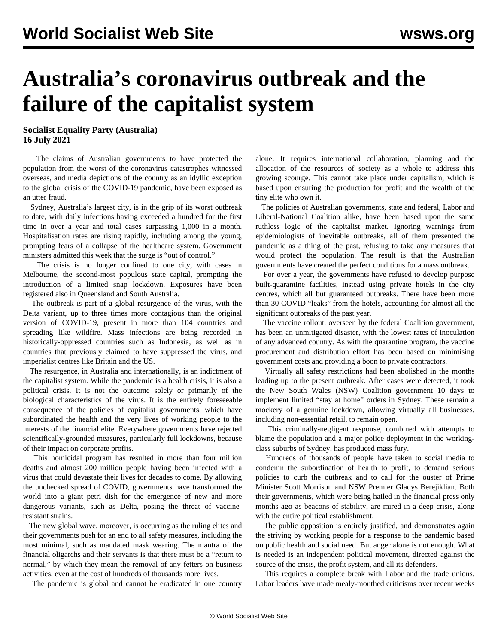## **Australia's coronavirus outbreak and the failure of the capitalist system**

**Socialist Equality Party (Australia) 16 July 2021**

 The claims of Australian governments to have protected the population from the worst of the coronavirus catastrophes witnessed overseas, and media depictions of the country as an idyllic exception to the global crisis of the COVID-19 pandemic, have been exposed as an utter fraud.

 Sydney, Australia's largest city, is in the grip of its worst outbreak to date, with daily infections having exceeded a hundred for the first time in over a year and total cases surpassing 1,000 in a month. Hospitalisation rates are rising rapidly, including among the young, prompting fears of a collapse of the healthcare system. Government ministers admitted this week that the surge is "out of control."

 The crisis is no longer confined to one city, with cases in Melbourne, the second-most populous state capital, prompting the introduction of a limited snap lockdown. Exposures have been registered also in Queensland and South Australia.

 The outbreak is part of a global resurgence of the virus, with the Delta variant, up to three times more contagious than the original version of COVID-19, present in more than 104 countries and spreading like wildfire. Mass infections are being recorded in historically-oppressed countries such as Indonesia, as well as in countries that previously claimed to have suppressed the virus, and imperialist centres like Britain and the US.

 The resurgence, in Australia and internationally, is an indictment of the capitalist system. While the pandemic is a health crisis, it is also a political crisis. It is not the outcome solely or primarily of the biological characteristics of the virus. It is the entirely foreseeable consequence of the policies of capitalist governments, which have subordinated the health and the very lives of working people to the interests of the financial elite. Everywhere governments have rejected scientifically-grounded measures, particularly full lockdowns, because of their impact on corporate profits.

 This homicidal program has resulted in more than four million deaths and almost 200 million people having been infected with a virus that could devastate their lives for decades to come. By allowing the unchecked spread of COVID, governments have transformed the world into a giant petri dish for the emergence of new and more dangerous variants, such as Delta, posing the threat of vaccineresistant strains.

 The new global wave, moreover, is occurring as the ruling elites and their governments push for an end to all safety measures, including the most minimal, such as mandated mask wearing. The mantra of the financial oligarchs and their servants is that there must be a "return to normal," by which they mean the removal of any fetters on business activities, even at the cost of hundreds of thousands more lives.

The pandemic is global and cannot be eradicated in one country

alone. It requires international collaboration, planning and the allocation of the resources of society as a whole to address this growing scourge. This cannot take place under capitalism, which is based upon ensuring the production for profit and the wealth of the tiny elite who own it.

 The policies of Australian governments, state and federal, Labor and Liberal-National Coalition alike, have been based upon the same ruthless logic of the capitalist market. Ignoring warnings from epidemiologists of inevitable outbreaks, all of them presented the pandemic as a thing of the past, refusing to take any measures that would protect the population. The result is that the Australian governments have created the perfect conditions for a mass outbreak.

 For over a year, the governments have refused to develop purpose built-quarantine facilities, instead using private hotels in the city centres, which all but guaranteed outbreaks. There have been more than 30 COVID "leaks" from the hotels, accounting for almost all the significant outbreaks of the past year.

 The vaccine rollout, overseen by the federal Coalition government, has been an unmitigated disaster, with the lowest rates of inoculation of any advanced country. As with the quarantine program, the vaccine procurement and distribution effort has been based on minimising government costs and providing a boon to private contractors.

 Virtually all safety restrictions had been abolished in the months leading up to the present outbreak. After cases were detected, it took the New South Wales (NSW) Coalition government 10 days to implement limited "stay at home" orders in Sydney. These remain a mockery of a genuine lockdown, allowing virtually all businesses, including non-essential retail, to remain open.

 This criminally-negligent response, combined with attempts to blame the population and a major police deployment in the workingclass suburbs of Sydney, has produced mass fury.

 Hundreds of thousands of people have taken to social media to condemn the subordination of health to profit, to demand serious policies to curb the outbreak and to call for the ouster of Prime Minister Scott Morrison and NSW Premier Gladys Berejiklian. Both their governments, which were being hailed in the financial press only months ago as beacons of stability, are mired in a deep crisis, along with the entire political establishment.

 The public opposition is entirely justified, and demonstrates again the striving by working people for a response to the pandemic based on public health and social need. But anger alone is not enough. What is needed is an independent political movement, directed against the source of the crisis, the profit system, and all its defenders.

 This requires a complete break with Labor and the trade unions. Labor leaders have made mealy-mouthed criticisms over recent weeks